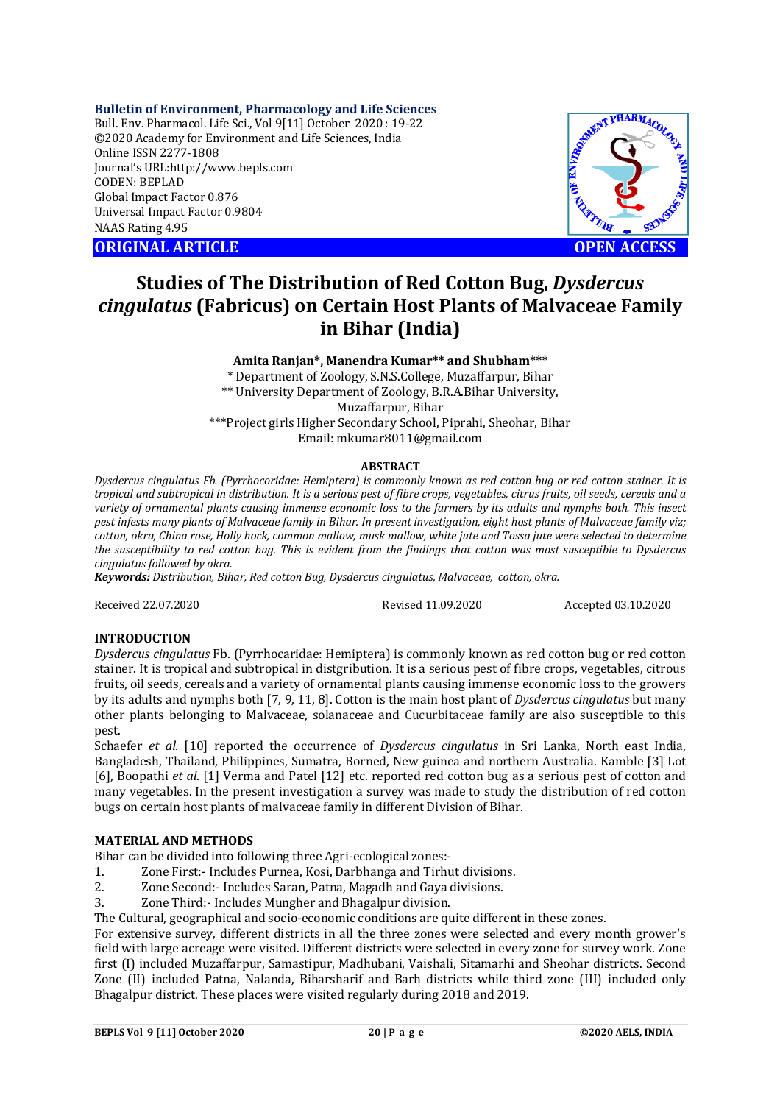## **Bulletin of Environment, Pharmacology and Life Sciences**

Bull. Env. Pharmacol. Life Sci., Vol 9[11] October 2020 : 19-22 ©2020 Academy for Environment and Life Sciences, India Online ISSN 2277-1808 Journal's URL:<http://www.bepls.com> CODEN: BEPLAD Global Impact Factor 0.876 Universal Impact Factor 0.9804 NAAS Rating 4.95

**ORIGINAL ARTICLE OPEN ACCESS**



# **Studies of The Distribution of Red Cotton Bug,** *Dysdercus cingulatus* **(Fabricus) on Certain Host Plants of Malvaceae Family in Bihar (India)**

**Amita Ranjan\*, Manendra Kumar\*\* and Shubham\*\*\***

\* Department of Zoology, S.N.S.College, Muzaffarpur, Bihar \*\* University Department of Zoology, B.R.A.Bihar University, Muzaffarpur, Bihar \*\*\*Project girls Higher Secondary School, Piprahi, Sheohar, Bihar Email: [mkumar8011@gmail.com](mailto:mkumar8011@gmail.com)

# **ABSTRACT**

*Dysdercus cingulatus Fb. (Pyrrhocoridae: Hemiptera) is commonly known as red cotton bug or red cotton stainer. It is tropical and subtropical in distribution. It is a serious pest of fibre crops, vegetables, citrus fruits, oil seeds, cereals and a variety of ornamental plants causing immense economic loss to the farmers by its adults and nymphs both. This insect pest infests many plants of Malvaceae family in Bihar. In present investigation, eight host plants of Malvaceae family viz; cotton, okra, China rose, Holly hock, common mallow, musk mallow, white jute and Tossa jute were selected to determine the susceptibility to red cotton bug. This is evident from the findings that cotton was most susceptible to Dysdercus cingulatus followed by okra.*

*Keywords: Distribution, Bihar, Red cotton Bug, Dysdercus cingulatus, Malvaceae, cotton, okra.*

Received 22.07.2020 Revised 11.09.2020 Accepted 03.10.2020

# **INTRODUCTION**

*Dysdercus cingulatus* Fb. (Pyrrhocaridae: Hemiptera) is commonly known as red cotton bug or red cotton stainer. It is tropical and subtropical in distgribution. It is a serious pest of fibre crops, vegetables, citrous fruits, oil seeds, cereals and a variety of ornamental plants causing immense economic loss to the growers by its adults and nymphs both [7, 9, 11, 8]. Cotton is the main host plant of *Dysdercus cingulatus* but many other plants belonging to Malvaceae, solanaceae and Cucurbitaceae family are also susceptible to this pest.

Schaefer *et al.* [10] reported the occurrence of *Dysdercus cingulatus* in Sri Lanka, North east India, Bangladesh, Thailand, Philippines, Sumatra, Borned, New guinea and northern Australia. Kamble [3] Lot [6], Boopathi *et al*. [1] Verma and Patel [12] etc. reported red cotton bug as a serious pest of cotton and many vegetables. In the present investigation a survey was made to study the distribution of red cotton bugs on certain host plants of malvaceae family in different Division of Bihar.

# **MATERIAL AND METHODS**

Bihar can be divided into following three Agri-ecological zones:-

- 1. Zone First:- Includes Purnea, Kosi, Darbhanga and Tirhut divisions.
- 2. Zone Second:- Includes Saran, Patna, Magadh and Gaya divisions.
- 3. Zone Third:- Includes Mungher and Bhagalpur division.

The Cultural, geographical and socio-economic conditions are quite different in these zones.

For extensive survey, different districts in all the three zones were selected and every month grower's field with large acreage were visited. Different districts were selected in every zone for survey work. Zone first (I) included Muzaffarpur, Samastipur, Madhubani, Vaishali, Sitamarhi and Sheohar districts. Second Zone (II) included Patna, Nalanda, Biharsharif and Barh districts while third zone (III) included only Bhagalpur district. These places were visited regularly during 2018 and 2019.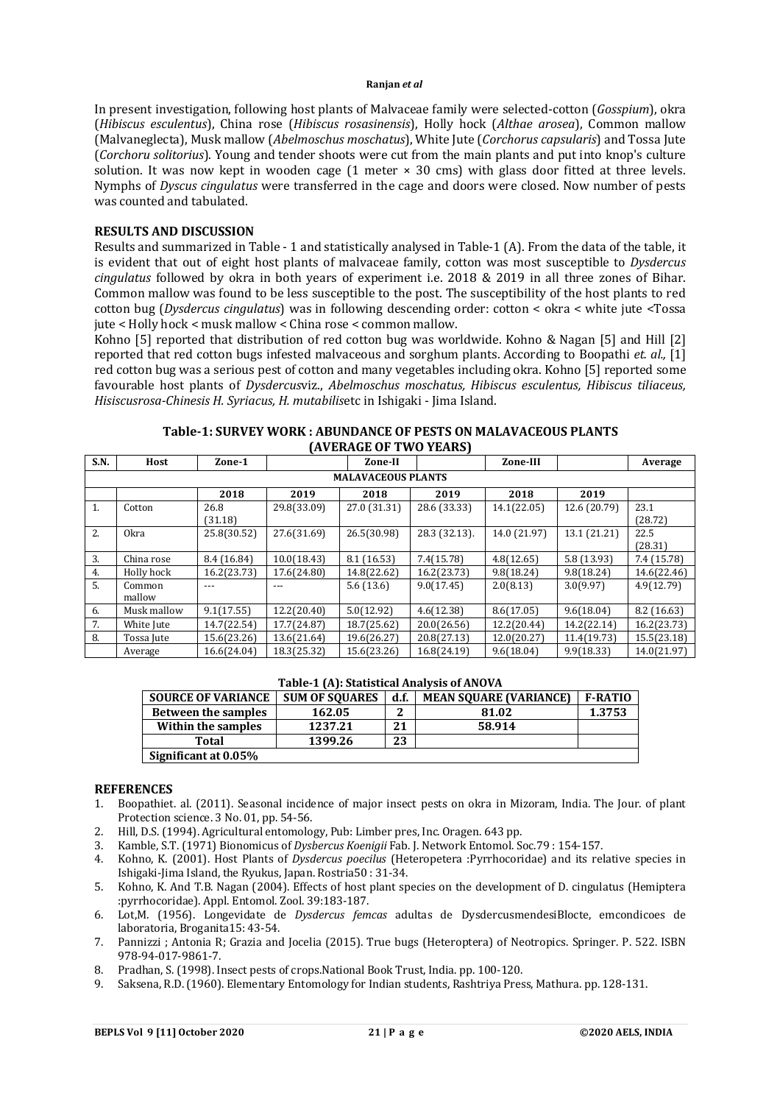#### **Ranjan** *et al*

In present investigation, following host plants of Malvaceae family were selected-cotton (*Gosspium*), okra (*Hibiscus esculentus*), China rose (*Hibiscus rosasinensis*), Holly hock (*Althae arosea*), Common mallow (Malvaneglecta), Musk mallow (*Abelmoschus moschatus*), White Jute (*Corchorus capsularis*) and Tossa Jute (*Corchoru solitorius*). Young and tender shoots were cut from the main plants and put into knop's culture solution. It was now kept in wooden cage (1 meter × 30 cms) with glass door fitted at three levels. Nymphs of *Dyscus cingulatus* were transferred in the cage and doors were closed. Now number of pests was counted and tabulated.

## **RESULTS AND DISCUSSION**

Results and summarized in Table - 1 and statistically analysed in Table-1 (A). From the data of the table, it is evident that out of eight host plants of malvaceae family, cotton was most susceptible to *Dysdercus cingulatus* followed by okra in both years of experiment i.e. 2018 & 2019 in all three zones of Bihar. Common mallow was found to be less susceptible to the post. The susceptibility of the host plants to red cotton bug (*Dysdercus cingulatus*) was in following descending order: cotton < okra < white jute <Tossa jute < Holly hock < musk mallow < China rose < common mallow.

Kohno [5] reported that distribution of red cotton bug was worldwide. Kohno & Nagan [5] and Hill [2] reported that red cotton bugs infested malvaceous and sorghum plants. According to Boopathi *et. al.,* [1] red cotton bug was a serious pest of cotton and many vegetables including okra. Kohno [5] reported some favourable host plants of *Dysdercus*viz., *Abelmoschus moschatus, Hibiscus esculentus, Hibiscus tiliaceus, Hisiscusrosa-Chinesis H. Syriacus, H. mutabilis*etc in Ishigaki - Jima Island.

|                           | AVLIVIUL VI TIVU ILAINJI |                 |             |              |               |              |              |                 |  |  |  |  |
|---------------------------|--------------------------|-----------------|-------------|--------------|---------------|--------------|--------------|-----------------|--|--|--|--|
| S.N.                      | Host                     | Zone-1          |             | Zone-II      |               | Zone-III     |              | Average         |  |  |  |  |
| <b>MALAVACEOUS PLANTS</b> |                          |                 |             |              |               |              |              |                 |  |  |  |  |
|                           |                          | 2018            | 2019        | 2018         | 2019          | 2018         | 2019         |                 |  |  |  |  |
| 1.                        | Cotton                   | 26.8<br>(31.18) | 29.8(33.09) | 27.0 (31.31) | 28.6 (33.33)  | 14.1(22.05)  | 12.6 (20.79) | 23.1<br>(28.72) |  |  |  |  |
| 2.                        | 0 <sub>kra</sub>         | 25.8(30.52)     | 27.6(31.69) | 26.5(30.98)  | 28.3 (32.13). | 14.0 (21.97) | 13.1 (21.21) | 22.5<br>(28.31) |  |  |  |  |
| 3.                        | China rose               | 8.4 (16.84)     | 10.0(18.43) | 8.1(16.53)   | 7.4(15.78)    | 4.8(12.65)   | 5.8(13.93)   | 7.4 (15.78)     |  |  |  |  |
| 4.                        | Holly hock               | 16.2(23.73)     | 17.6(24.80) | 14.8(22.62)  | 16.2(23.73)   | 9.8(18.24)   | 9.8(18.24)   | 14.6(22.46)     |  |  |  |  |
| 5.                        | Common<br>mallow         | $---$           | ---         | 5.6(13.6)    | 9.0(17.45)    | 2.0(8.13)    | 3.0(9.97)    | 4.9(12.79)      |  |  |  |  |
| 6.                        | Musk mallow              | 9.1(17.55)      | 12.2(20.40) | 5.0(12.92)   | 4.6(12.38)    | 8.6(17.05)   | 9.6(18.04)   | 8.2(16.63)      |  |  |  |  |
| 7.                        | White Jute               | 14.7(22.54)     | 17.7(24.87) | 18.7(25.62)  | 20.0(26.56)   | 12.2(20.44)  | 14.2(22.14)  | 16.2(23.73)     |  |  |  |  |
| 8.                        | Tossa Jute               | 15.6(23.26)     | 13.6(21.64) | 19.6(26.27)  | 20.8(27.13)   | 12.0(20.27)  | 11.4(19.73)  | 15.5(23.18)     |  |  |  |  |
|                           | Average                  | 16.6(24.04)     | 18.3(25.32) | 15.6(23.26)  | 16.8(24.19)   | 9.6(18.04)   | 9.9(18.33)   | 14.0(21.97)     |  |  |  |  |

## **Table-1: SURVEY WORK : ABUNDANCE OF PESTS ON MALAVACEOUS PLANTS (AVERAGE OF TWO YEARS)**

#### **Table-1 (A): Statistical Analysis of ANOVA**

| <b>SOURCE OF VARIANCE</b>  | <b>SUM OF SOUARES</b> | d.f. | <b>MEAN SOUARE (VARIANCE)</b> | <b>F-RATIO</b> |
|----------------------------|-----------------------|------|-------------------------------|----------------|
| <b>Between the samples</b> | 162.05                |      | 81.02                         | 1.3753         |
| Within the samples         | 1237.21               | 21   | 58.914                        |                |
| Total                      | 1399.26               | 23   |                               |                |
| Significant at 0.05%       |                       |      |                               |                |

### **REFERENCES**

- 1. Boopathiet. al. (2011). Seasonal incidence of major insect pests on okra in Mizoram, India. The Jour. of plant Protection science. 3 No. 01, pp. 54-56.
- 2. Hill, D.S. (1994). Agricultural entomology, Pub: Limber pres, Inc. Oragen. 643 pp.
- 3. Kamble, S.T. (1971) Bionomicus of *Dysbercus Koenigii* Fab. J. Network Entomol. Soc.79 : 154-157.
- 4. Kohno, K. (2001). Host Plants of *Dysdercus poecilus* (Heteropetera :Pyrrhocoridae) and its relative species in Ishigaki-Jima Island, the Ryukus, Japan. Rostria50 : 31-34.
- 5. Kohno, K. And T.B. Nagan (2004). Effects of host plant species on the development of D. cingulatus (Hemiptera :pyrrhocoridae). Appl. Entomol. Zool. 39:183-187.
- 6. Lot,M. (1956). Longevidate de *Dysdercus femcas* adultas de DysdercusmendesiBlocte, emcondicoes de laboratoria, Broganita15: 43-54.
- 7. Pannizzi ; Antonia R; Grazia and Jocelia (2015). True bugs (Heteroptera) of Neotropics. Springer. P. 522. ISBN 978-94-017-9861-7.
- 8. Pradhan, S. (1998). Insect pests of crops.National Book Trust, India. pp. 100-120.
- 9. Saksena, R.D. (1960). Elementary Entomology for Indian students, Rashtriya Press, Mathura. pp. 128-131.